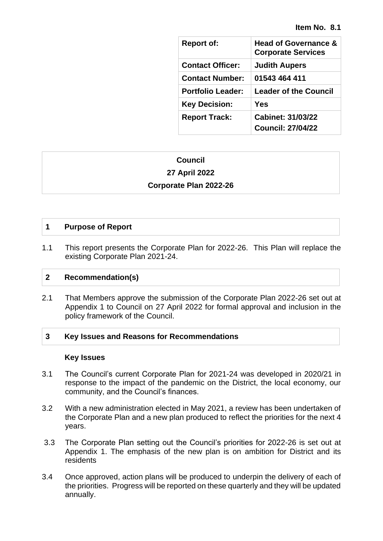| <b>Report of:</b>        | <b>Head of Governance &amp;</b><br><b>Corporate Services</b> |
|--------------------------|--------------------------------------------------------------|
| <b>Contact Officer:</b>  | <b>Judith Aupers</b>                                         |
| <b>Contact Number:</b>   | 01543 464 411                                                |
| <b>Portfolio Leader:</b> | <b>Leader of the Council</b>                                 |
| <b>Key Decision:</b>     | Yes                                                          |
| <b>Report Track:</b>     | <b>Cabinet: 31/03/22</b>                                     |
|                          | <b>Council: 27/04/22</b>                                     |

# **Council**

# **27 April 2022**

# **Corporate Plan 2022-26**

# **1 Purpose of Report**

1.1 This report presents the Corporate Plan for 2022-26. This Plan will replace the existing Corporate Plan 2021-24.

## **2 Recommendation(s)**

2.1 That Members approve the submission of the Corporate Plan 2022-26 set out at Appendix 1 to Council on 27 April 2022 for formal approval and inclusion in the policy framework of the Council.

## **3 Key Issues and Reasons for Recommendations**

## **Key Issues**

- 3.1 The Council's current Corporate Plan for 2021-24 was developed in 2020/21 in response to the impact of the pandemic on the District, the local economy, our community, and the Council's finances.
- 3.2 With a new administration elected in May 2021, a review has been undertaken of the Corporate Plan and a new plan produced to reflect the priorities for the next 4 years.
- 3.3 The Corporate Plan setting out the Council's priorities for 2022-26 is set out at Appendix 1. The emphasis of the new plan is on ambition for District and its residents
- 3.4 Once approved, action plans will be produced to underpin the delivery of each of the priorities. Progress will be reported on these quarterly and they will be updated annually.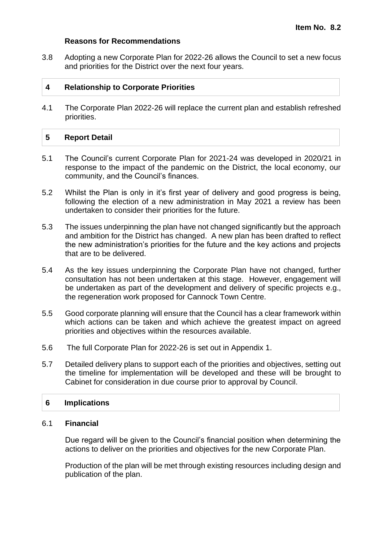#### **Reasons for Recommendations**

3.8 Adopting a new Corporate Plan for 2022-26 allows the Council to set a new focus and priorities for the District over the next four years.

## **4 Relationship to Corporate Priorities**

4.1 The Corporate Plan 2022-26 will replace the current plan and establish refreshed priorities.

#### **5 Report Detail**

- 5.1 The Council's current Corporate Plan for 2021-24 was developed in 2020/21 in response to the impact of the pandemic on the District, the local economy, our community, and the Council's finances.
- 5.2 Whilst the Plan is only in it's first year of delivery and good progress is being, following the election of a new administration in May 2021 a review has been undertaken to consider their priorities for the future.
- 5.3 The issues underpinning the plan have not changed significantly but the approach and ambition for the District has changed. A new plan has been drafted to reflect the new administration's priorities for the future and the key actions and projects that are to be delivered.
- 5.4 As the key issues underpinning the Corporate Plan have not changed, further consultation has not been undertaken at this stage. However, engagement will be undertaken as part of the development and delivery of specific projects e.g., the regeneration work proposed for Cannock Town Centre.
- 5.5 Good corporate planning will ensure that the Council has a clear framework within which actions can be taken and which achieve the greatest impact on agreed priorities and objectives within the resources available.
- 5.6 The full Corporate Plan for 2022-26 is set out in Appendix 1.
- 5.7 Detailed delivery plans to support each of the priorities and objectives, setting out the timeline for implementation will be developed and these will be brought to Cabinet for consideration in due course prior to approval by Council.

## **6 Implications**

#### 6.1 **Financial**

Due regard will be given to the Council's financial position when determining the actions to deliver on the priorities and objectives for the new Corporate Plan.

Production of the plan will be met through existing resources including design and publication of the plan.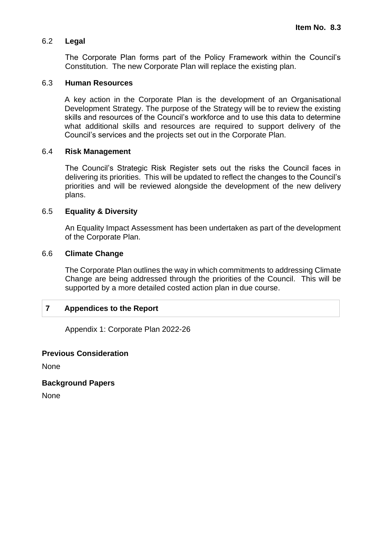## 6.2 **Legal**

The Corporate Plan forms part of the Policy Framework within the Council's Constitution. The new Corporate Plan will replace the existing plan.

## 6.3 **Human Resources**

A key action in the Corporate Plan is the development of an Organisational Development Strategy. The purpose of the Strategy will be to review the existing skills and resources of the Council's workforce and to use this data to determine what additional skills and resources are required to support delivery of the Council's services and the projects set out in the Corporate Plan.

#### 6.4 **Risk Management**

The Council's Strategic Risk Register sets out the risks the Council faces in delivering its priorities. This will be updated to reflect the changes to the Council's priorities and will be reviewed alongside the development of the new delivery plans.

#### 6.5 **Equality & Diversity**

An Equality Impact Assessment has been undertaken as part of the development of the Corporate Plan.

#### 6.6 **Climate Change**

The Corporate Plan outlines the way in which commitments to addressing Climate Change are being addressed through the priorities of the Council. This will be supported by a more detailed costed action plan in due course.

# **7 Appendices to the Report**

Appendix 1: Corporate Plan 2022-26

#### **Previous Consideration**

None

## **Background Papers**

None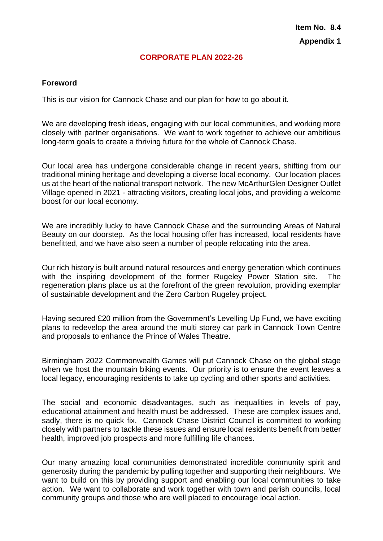## **CORPORATE PLAN 2022-26**

#### **Foreword**

This is our vision for Cannock Chase and our plan for how to go about it.

We are developing fresh ideas, engaging with our local communities, and working more closely with partner organisations. We want to work together to achieve our ambitious long-term goals to create a thriving future for the whole of Cannock Chase.

Our local area has undergone considerable change in recent years, shifting from our traditional mining heritage and developing a diverse local economy. Our location places us at the heart of the national transport network. The new McArthurGlen Designer Outlet Village opened in 2021 - attracting visitors, creating local jobs, and providing a welcome boost for our local economy.

We are incredibly lucky to have Cannock Chase and the surrounding Areas of Natural Beauty on our doorstep. As the local housing offer has increased, local residents have benefitted, and we have also seen a number of people relocating into the area.

Our rich history is built around natural resources and energy generation which continues with the inspiring development of the former Rugeley Power Station site. The regeneration plans place us at the forefront of the green revolution, providing exemplar of sustainable development and the Zero Carbon Rugeley project.

Having secured £20 million from the Government's Levelling Up Fund, we have exciting plans to redevelop the area around the multi storey car park in Cannock Town Centre and proposals to enhance the Prince of Wales Theatre.

Birmingham 2022 Commonwealth Games will put Cannock Chase on the global stage when we host the mountain biking events. Our priority is to ensure the event leaves a local legacy, encouraging residents to take up cycling and other sports and activities.

The social and economic disadvantages, such as inequalities in levels of pay, educational attainment and health must be addressed. These are complex issues and, sadly, there is no quick fix. Cannock Chase District Council is committed to working closely with partners to tackle these issues and ensure local residents benefit from better health, improved job prospects and more fulfilling life chances.

Our many amazing local communities demonstrated incredible community spirit and generosity during the pandemic by pulling together and supporting their neighbours. We want to build on this by providing support and enabling our local communities to take action. We want to collaborate and work together with town and parish councils, local community groups and those who are well placed to encourage local action.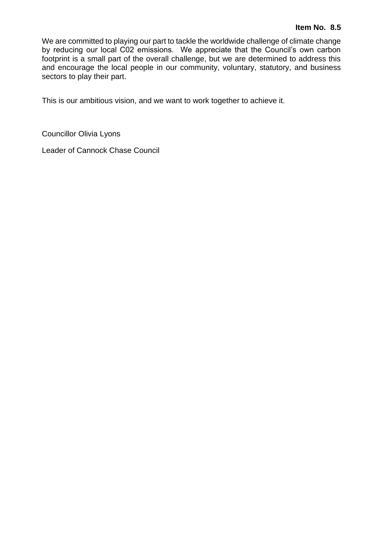We are committed to playing our part to tackle the worldwide challenge of climate change by reducing our local C02 emissions. We appreciate that the Council's own carbon footprint is a small part of the overall challenge, but we are determined to address this and encourage the local people in our community, voluntary, statutory, and business sectors to play their part.

This is our ambitious vision, and we want to work together to achieve it.

Councillor Olivia Lyons

Leader of Cannock Chase Council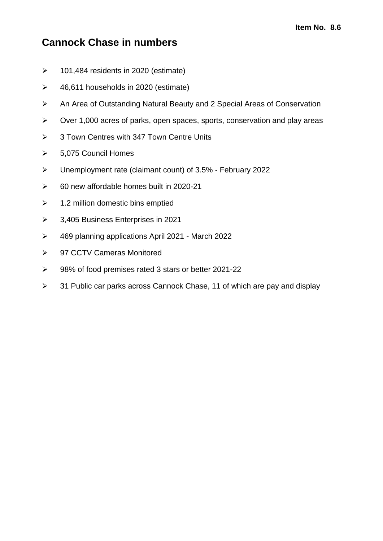# **Cannock Chase in numbers**

- $\geq$  101,484 residents in 2020 (estimate)
- $\geq$  46,611 households in 2020 (estimate)
- ➢ An Area of Outstanding Natural Beauty and 2 Special Areas of Conservation
- ➢ Over 1,000 acres of parks, open spaces, sports, conservation and play areas
- ➢ 3 Town Centres with 347 Town Centre Units
- ➢ 5,075 Council Homes
- ➢ Unemployment rate (claimant count) of 3.5% February 2022
- $\geq$  60 new affordable homes built in 2020-21
- $\geq$  1.2 million domestic bins emptied
- ➢ 3,405 Business Enterprises in 2021
- ➢ 469 planning applications April 2021 March 2022
- ➢ 97 CCTV Cameras Monitored
- ➢ 98% of food premises rated 3 stars or better 2021-22
- ➢ 31 Public car parks across Cannock Chase, 11 of which are pay and display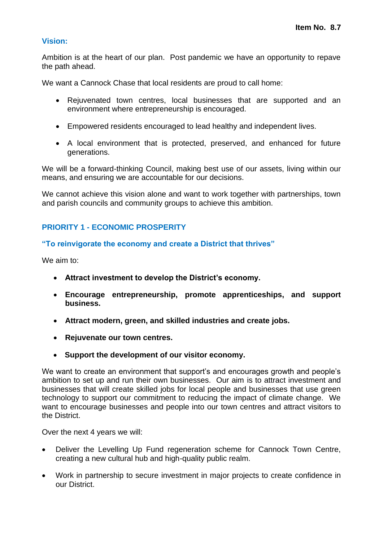# **Vision:**

Ambition is at the heart of our plan. Post pandemic we have an opportunity to repave the path ahead.

We want a Cannock Chase that local residents are proud to call home:

- Rejuvenated town centres, local businesses that are supported and an environment where entrepreneurship is encouraged.
- Empowered residents encouraged to lead healthy and independent lives.
- A local environment that is protected, preserved, and enhanced for future generations.

We will be a forward-thinking Council, making best use of our assets, living within our means, and ensuring we are accountable for our decisions.

We cannot achieve this vision alone and want to work together with partnerships, town and parish councils and community groups to achieve this ambition.

# **PRIORITY 1 - ECONOMIC PROSPERITY**

# **"To reinvigorate the economy and create a District that thrives"**

We aim to:

- **Attract investment to develop the District's economy.**
- **Encourage entrepreneurship, promote apprenticeships, and support business.**
- **Attract modern, green, and skilled industries and create jobs.**
- **Rejuvenate our town centres.**
- **Support the development of our visitor economy.**

We want to create an environment that support's and encourages growth and people's ambition to set up and run their own businesses. Our aim is to attract investment and businesses that will create skilled jobs for local people and businesses that use green technology to support our commitment to reducing the impact of climate change. We want to encourage businesses and people into our town centres and attract visitors to the District.

Over the next 4 years we will:

- Deliver the Levelling Up Fund regeneration scheme for Cannock Town Centre, creating a new cultural hub and high-quality public realm.
- Work in partnership to secure investment in major projects to create confidence in our District.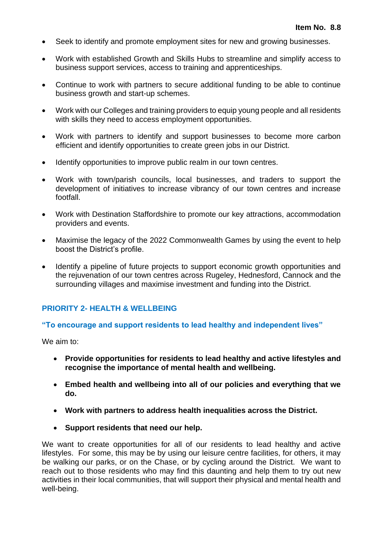- Seek to identify and promote employment sites for new and growing businesses.
- Work with established Growth and Skills Hubs to streamline and simplify access to business support services, access to training and apprenticeships.
- Continue to work with partners to secure additional funding to be able to continue business growth and start-up schemes.
- Work with our Colleges and training providers to equip young people and all residents with skills they need to access employment opportunities.
- Work with partners to identify and support businesses to become more carbon efficient and identify opportunities to create green jobs in our District.
- Identify opportunities to improve public realm in our town centres.
- Work with town/parish councils, local businesses, and traders to support the development of initiatives to increase vibrancy of our town centres and increase footfall.
- Work with Destination Staffordshire to promote our key attractions, accommodation providers and events.
- Maximise the legacy of the 2022 Commonwealth Games by using the event to help boost the District's profile.
- Identify a pipeline of future projects to support economic growth opportunities and the rejuvenation of our town centres across Rugeley, Hednesford, Cannock and the surrounding villages and maximise investment and funding into the District.

## **PRIORITY 2- HEALTH & WELLBEING**

#### **"To encourage and support residents to lead healthy and independent lives"**

We aim to:

- **Provide opportunities for residents to lead healthy and active lifestyles and recognise the importance of mental health and wellbeing.**
- **Embed health and wellbeing into all of our policies and everything that we do.**
- **Work with partners to address health inequalities across the District.**
- **Support residents that need our help.**

We want to create opportunities for all of our residents to lead healthy and active lifestyles. For some, this may be by using our leisure centre facilities, for others, it may be walking our parks, or on the Chase, or by cycling around the District. We want to reach out to those residents who may find this daunting and help them to try out new activities in their local communities, that will support their physical and mental health and well-being.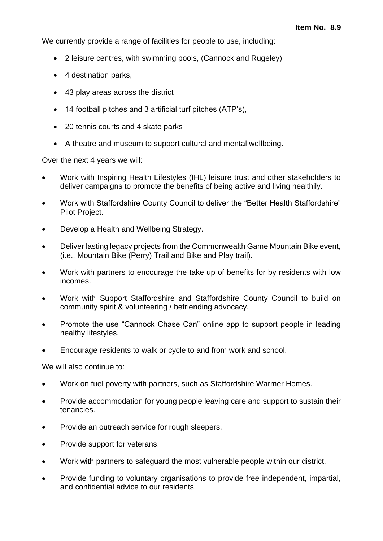We currently provide a range of facilities for people to use, including:

- 2 leisure centres, with swimming pools, (Cannock and Rugeley)
- 4 destination parks,
- 43 play areas across the district
- 14 football pitches and 3 artificial turf pitches (ATP's),
- 20 tennis courts and 4 skate parks
- A theatre and museum to support cultural and mental wellbeing.

Over the next 4 years we will:

- Work with Inspiring Health Lifestyles (IHL) leisure trust and other stakeholders to deliver campaigns to promote the benefits of being active and living healthily.
- Work with Staffordshire County Council to deliver the "Better Health Staffordshire" Pilot Project.
- Develop a Health and Wellbeing Strategy.
- Deliver lasting legacy projects from the Commonwealth Game Mountain Bike event, (i.e., Mountain Bike (Perry) Trail and Bike and Play trail).
- Work with partners to encourage the take up of benefits for by residents with low incomes.
- Work with Support Staffordshire and Staffordshire County Council to build on community spirit & volunteering / befriending advocacy.
- Promote the use "Cannock Chase Can" online app to support people in leading healthy lifestyles.
- Encourage residents to walk or cycle to and from work and school.

We will also continue to:

- Work on fuel poverty with partners, such as Staffordshire Warmer Homes.
- Provide accommodation for young people leaving care and support to sustain their tenancies.
- Provide an outreach service for rough sleepers.
- Provide support for veterans.
- Work with partners to safeguard the most vulnerable people within our district.
- Provide funding to voluntary organisations to provide free independent, impartial, and confidential advice to our residents.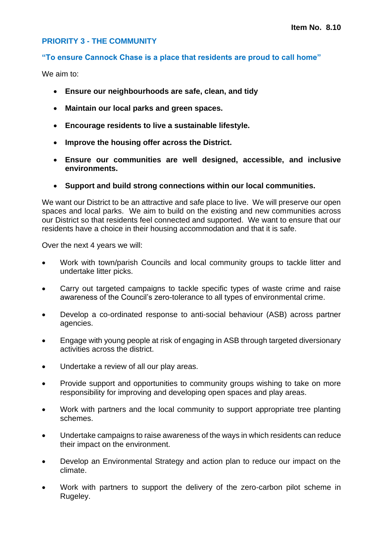# **PRIORITY 3 - THE COMMUNITY**

## **"To ensure Cannock Chase is a place that residents are proud to call home"**

We aim to:

- **Ensure our neighbourhoods are safe, clean, and tidy**
- **Maintain our local parks and green spaces.**
- **Encourage residents to live a sustainable lifestyle.**
- **Improve the housing offer across the District.**
- **Ensure our communities are well designed, accessible, and inclusive environments.**
- **Support and build strong connections within our local communities.**

We want our District to be an attractive and safe place to live. We will preserve our open spaces and local parks. We aim to build on the existing and new communities across our District so that residents feel connected and supported. We want to ensure that our residents have a choice in their housing accommodation and that it is safe.

Over the next 4 years we will:

- Work with town/parish Councils and local community groups to tackle litter and undertake litter picks.
- Carry out targeted campaigns to tackle specific types of waste crime and raise awareness of the Council's zero-tolerance to all types of environmental crime.
- Develop a co-ordinated response to anti-social behaviour (ASB) across partner agencies.
- Engage with young people at risk of engaging in ASB through targeted diversionary activities across the district.
- Undertake a review of all our play areas.
- Provide support and opportunities to community groups wishing to take on more responsibility for improving and developing open spaces and play areas.
- Work with partners and the local community to support appropriate tree planting schemes.
- Undertake campaigns to raise awareness of the ways in which residents can reduce their impact on the environment.
- Develop an Environmental Strategy and action plan to reduce our impact on the climate.
- Work with partners to support the delivery of the zero-carbon pilot scheme in Rugeley.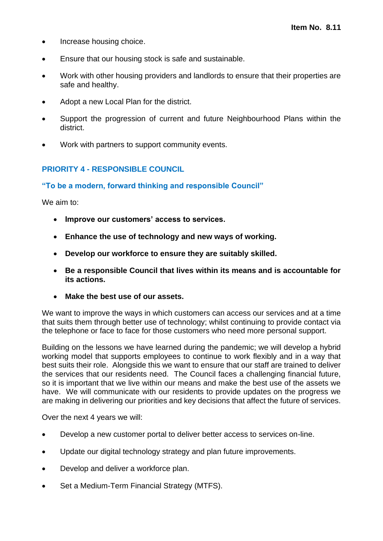- Increase housing choice.
- Ensure that our housing stock is safe and sustainable.
- Work with other housing providers and landlords to ensure that their properties are safe and healthy.
- Adopt a new Local Plan for the district.
- Support the progression of current and future Neighbourhood Plans within the district.
- Work with partners to support community events.

# **PRIORITY 4 - RESPONSIBLE COUNCIL**

# **"To be a modern, forward thinking and responsible Council"**

We aim to:

- **Improve our customers' access to services.**
- **Enhance the use of technology and new ways of working.**
- **Develop our workforce to ensure they are suitably skilled.**
- **Be a responsible Council that lives within its means and is accountable for its actions.**
- **Make the best use of our assets.**

We want to improve the ways in which customers can access our services and at a time that suits them through better use of technology; whilst continuing to provide contact via the telephone or face to face for those customers who need more personal support.

Building on the lessons we have learned during the pandemic; we will develop a hybrid working model that supports employees to continue to work flexibly and in a way that best suits their role. Alongside this we want to ensure that our staff are trained to deliver the services that our residents need. The Council faces a challenging financial future, so it is important that we live within our means and make the best use of the assets we have. We will communicate with our residents to provide updates on the progress we are making in delivering our priorities and key decisions that affect the future of services.

Over the next 4 years we will:

- Develop a new customer portal to deliver better access to services on-line.
- Update our digital technology strategy and plan future improvements.
- Develop and deliver a workforce plan.
- Set a Medium-Term Financial Strategy (MTFS).